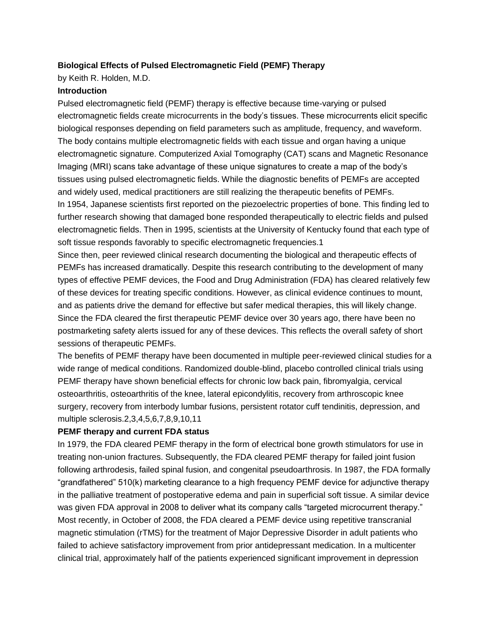## **Biological Effects of Pulsed Electromagnetic Field (PEMF) Therapy**

by Keith R. Holden, M.D.

# **Introduction**

Pulsed electromagnetic field (PEMF) therapy is effective because time-varying or pulsed electromagnetic fields create microcurrents in the body's tissues. These microcurrents elicit specific biological responses depending on field parameters such as amplitude, frequency, and waveform. The body contains multiple electromagnetic fields with each tissue and organ having a unique electromagnetic signature. Computerized Axial Tomography (CAT) scans and Magnetic Resonance Imaging (MRI) scans take advantage of these unique signatures to create a map of the body's tissues using pulsed electromagnetic fields. While the diagnostic benefits of PEMFs are accepted and widely used, medical practitioners are still realizing the therapeutic benefits of PEMFs. In 1954, Japanese scientists first reported on the piezoelectric properties of bone. This finding led to further research showing that damaged bone responded therapeutically to electric fields and pulsed electromagnetic fields. Then in 1995, scientists at the University of Kentucky found that each type of soft tissue responds favorably to specific electromagnetic frequencies.1

Since then, peer reviewed clinical research documenting the biological and therapeutic effects of PEMFs has increased dramatically. Despite this research contributing to the development of many types of effective PEMF devices, the Food and Drug Administration (FDA) has cleared relatively few of these devices for treating specific conditions. However, as clinical evidence continues to mount, and as patients drive the demand for effective but safer medical therapies, this will likely change. Since the FDA cleared the first therapeutic PEMF device over 30 years ago, there have been no postmarketing safety alerts issued for any of these devices. This reflects the overall safety of short sessions of therapeutic PEMFs.

The benefits of PEMF therapy have been documented in multiple peer-reviewed clinical studies for a wide range of medical conditions. Randomized double-blind, placebo controlled clinical trials using PEMF therapy have shown beneficial effects for chronic low back pain, fibromyalgia, cervical osteoarthritis, osteoarthritis of the knee, lateral epicondylitis, recovery from arthroscopic knee surgery, recovery from interbody lumbar fusions, persistent rotator cuff tendinitis, depression, and multiple sclerosis.2,3,4,5,6,7,8,9,10,11

### **PEMF therapy and current FDA status**

In 1979, the FDA cleared PEMF therapy in the form of electrical bone growth stimulators for use in treating non-union fractures. Subsequently, the FDA cleared PEMF therapy for failed joint fusion following arthrodesis, failed spinal fusion, and congenital pseudoarthrosis. In 1987, the FDA formally "grandfathered" 510(k) marketing clearance to a high frequency PEMF device for adjunctive therapy in the palliative treatment of postoperative edema and pain in superficial soft tissue. A similar device was given FDA approval in 2008 to deliver what its company calls "targeted microcurrent therapy." Most recently, in October of 2008, the FDA cleared a PEMF device using repetitive transcranial magnetic stimulation (rTMS) for the treatment of Major Depressive Disorder in adult patients who failed to achieve satisfactory improvement from prior antidepressant medication. In a multicenter clinical trial, approximately half of the patients experienced significant improvement in depression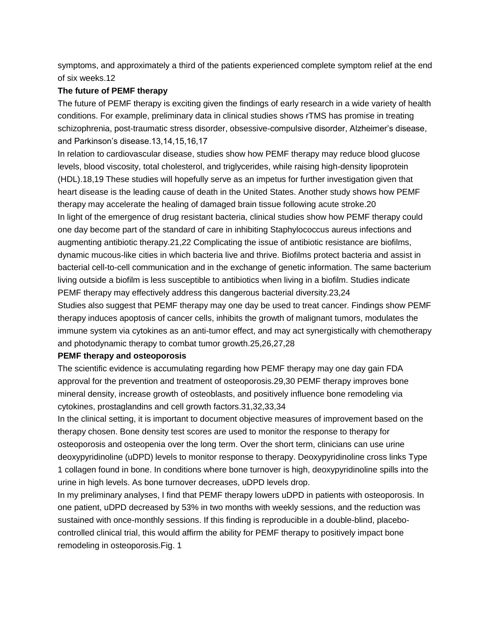symptoms, and approximately a third of the patients experienced complete symptom relief at the end of six weeks.12

### **The future of PEMF therapy**

The future of PEMF therapy is exciting given the findings of early research in a wide variety of health conditions. For example, preliminary data in clinical studies shows rTMS has promise in treating schizophrenia, post-traumatic stress disorder, obsessive-compulsive disorder, Alzheimer's disease, and Parkinson's disease.13,14,15,16,17

In relation to cardiovascular disease, studies show how PEMF therapy may reduce blood glucose levels, blood viscosity, total cholesterol, and triglycerides, while raising high-density lipoprotein (HDL).18,19 These studies will hopefully serve as an impetus for further investigation given that heart disease is the leading cause of death in the United States. Another study shows how PEMF therapy may accelerate the healing of damaged brain tissue following acute stroke.20 In light of the emergence of drug resistant bacteria, clinical studies show how PEMF therapy could one day become part of the standard of care in inhibiting Staphylococcus aureus infections and augmenting antibiotic therapy.21,22 Complicating the issue of antibiotic resistance are biofilms, dynamic mucous-like cities in which bacteria live and thrive. Biofilms protect bacteria and assist in bacterial cell-to-cell communication and in the exchange of genetic information. The same bacterium living outside a biofilm is less susceptible to antibiotics when living in a biofilm. Studies indicate PEMF therapy may effectively address this dangerous bacterial diversity.23,24

Studies also suggest that PEMF therapy may one day be used to treat cancer. Findings show PEMF therapy induces apoptosis of cancer cells, inhibits the growth of malignant tumors, modulates the immune system via cytokines as an anti-tumor effect, and may act synergistically with chemotherapy and photodynamic therapy to combat tumor growth.25,26,27,28

### **PEMF therapy and osteoporosis**

The scientific evidence is accumulating regarding how PEMF therapy may one day gain FDA approval for the prevention and treatment of osteoporosis.29,30 PEMF therapy improves bone mineral density, increase growth of osteoblasts, and positively influence bone remodeling via cytokines, prostaglandins and cell growth factors.31,32,33,34

In the clinical setting, it is important to document objective measures of improvement based on the therapy chosen. Bone density test scores are used to monitor the response to therapy for osteoporosis and osteopenia over the long term. Over the short term, clinicians can use urine deoxypyridinoline (uDPD) levels to monitor response to therapy. Deoxypyridinoline cross links Type 1 collagen found in bone. In conditions where bone turnover is high, deoxypyridinoline spills into the urine in high levels. As bone turnover decreases, uDPD levels drop.

In my preliminary analyses, I find that PEMF therapy lowers uDPD in patients with osteoporosis. In one patient, uDPD decreased by 53% in two months with weekly sessions, and the reduction was sustained with once-monthly sessions. If this finding is reproducible in a double-blind, placebocontrolled clinical trial, this would affirm the ability for PEMF therapy to positively impact bone remodeling in osteoporosis.Fig. 1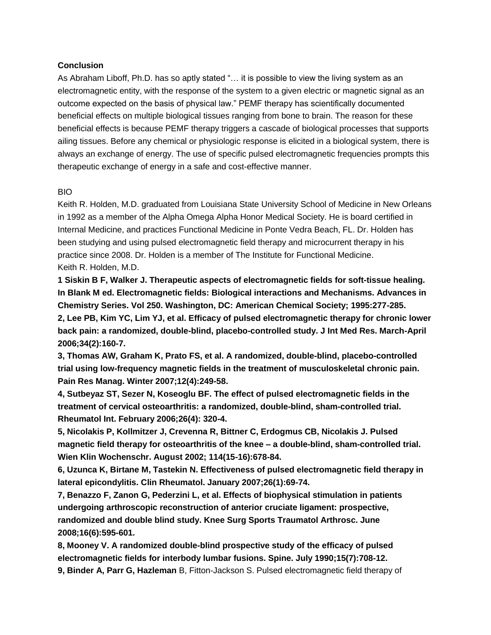### **Conclusion**

As Abraham Liboff, Ph.D. has so aptly stated "… it is possible to view the living system as an electromagnetic entity, with the response of the system to a given electric or magnetic signal as an outcome expected on the basis of physical law." PEMF therapy has scientifically documented beneficial effects on multiple biological tissues ranging from bone to brain. The reason for these beneficial effects is because PEMF therapy triggers a cascade of biological processes that supports ailing tissues. Before any chemical or physiologic response is elicited in a biological system, there is always an exchange of energy. The use of specific pulsed electromagnetic frequencies prompts this therapeutic exchange of energy in a safe and cost-effective manner.

#### BIO

Keith R. Holden, M.D. graduated from Louisiana State University School of Medicine in New Orleans in 1992 as a member of the Alpha Omega Alpha Honor Medical Society. He is board certified in Internal Medicine, and practices Functional Medicine in Ponte Vedra Beach, FL. Dr. Holden has been studying and using pulsed electromagnetic field therapy and microcurrent therapy in his practice since 2008. Dr. Holden is a member of The Institute for Functional Medicine. Keith R. Holden, M.D.

**1 Siskin B F, Walker J. Therapeutic aspects of electromagnetic fields for soft-tissue healing. In Blank M ed. Electromagnetic fields: Biological interactions and Mechanisms. Advances in Chemistry Series. Vol 250. Washington, DC: American Chemical Society; 1995:277-285. 2, Lee PB, Kim YC, Lim YJ, et al. Efficacy of pulsed electromagnetic therapy for chronic lower back pain: a randomized, double-blind, placebo-controlled study. J Int Med Res. March-April 2006;34(2):160-7.**

**3, Thomas AW, Graham K, Prato FS, et al. A randomized, double-blind, placebo-controlled trial using low-frequency magnetic fields in the treatment of musculoskeletal chronic pain. Pain Res Manag. Winter 2007;12(4):249-58.**

**4, Sutbeyaz ST, Sezer N, Koseoglu BF. The effect of pulsed electromagnetic fields in the treatment of cervical osteoarthritis: a randomized, double-blind, sham-controlled trial. Rheumatol Int. February 2006;26(4): 320-4.**

**5, Nicolakis P, Kollmitzer J, Crevenna R, Bittner C, Erdogmus CB, Nicolakis J. Pulsed magnetic field therapy for osteoarthritis of the knee – a double-blind, sham-controlled trial. Wien Klin Wochenschr. August 2002; 114(15-16):678-84.**

**6, Uzunca K, Birtane M, Tastekin N. Effectiveness of pulsed electromagnetic field therapy in lateral epicondylitis. Clin Rheumatol. January 2007;26(1):69-74.**

**7, Benazzo F, Zanon G, Pederzini L, et al. Effects of biophysical stimulation in patients undergoing arthroscopic reconstruction of anterior cruciate ligament: prospective, randomized and double blind study. Knee Surg Sports Traumatol Arthrosc. June 2008;16(6):595-601.**

**8, Mooney V. A randomized double-blind prospective study of the efficacy of pulsed electromagnetic fields for interbody lumbar fusions. Spine. July 1990;15(7):708-12. 9, Binder A, Parr G, Hazleman** B, Fitton-Jackson S. Pulsed electromagnetic field therapy of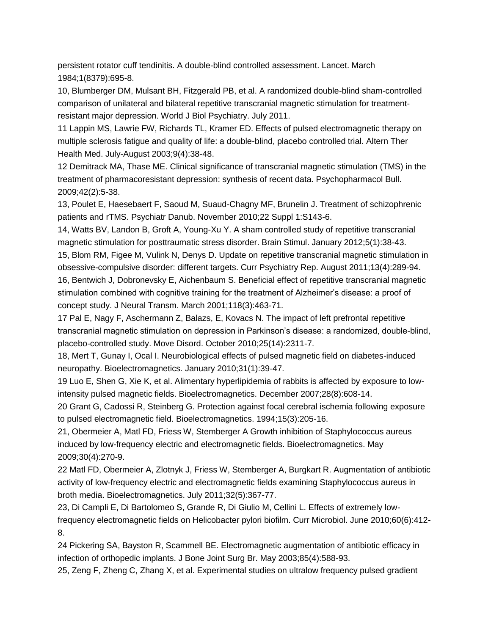persistent rotator cuff tendinitis. A double-blind controlled assessment. Lancet. March 1984;1(8379):695-8.

10, Blumberger DM, Mulsant BH, Fitzgerald PB, et al. A randomized double-blind sham-controlled comparison of unilateral and bilateral repetitive transcranial magnetic stimulation for treatmentresistant major depression. World J Biol Psychiatry. July 2011.

11 Lappin MS, Lawrie FW, Richards TL, Kramer ED. Effects of pulsed electromagnetic therapy on multiple sclerosis fatigue and quality of life: a double-blind, placebo controlled trial. Altern Ther Health Med. July-August 2003;9(4):38-48.

12 Demitrack MA, Thase ME. Clinical significance of transcranial magnetic stimulation (TMS) in the treatment of pharmacoresistant depression: synthesis of recent data. Psychopharmacol Bull. 2009;42(2):5-38.

13, Poulet E, Haesebaert F, Saoud M, Suaud-Chagny MF, Brunelin J. Treatment of schizophrenic patients and rTMS. Psychiatr Danub. November 2010;22 Suppl 1:S143-6.

14, Watts BV, Landon B, Groft A, Young-Xu Y. A sham controlled study of repetitive transcranial magnetic stimulation for posttraumatic stress disorder. Brain Stimul. January 2012;5(1):38-43.

15, Blom RM, Figee M, Vulink N, Denys D. Update on repetitive transcranial magnetic stimulation in obsessive-compulsive disorder: different targets. Curr Psychiatry Rep. August 2011;13(4):289-94. 16, Bentwich J, Dobronevsky E, Aichenbaum S. Beneficial effect of repetitive transcranial magnetic stimulation combined with cognitive training for the treatment of Alzheimer's disease: a proof of concept study. J Neural Transm. March 2001;118(3):463-71.

17 Pal E, Nagy F, Aschermann Z, Balazs, E, Kovacs N. The impact of left prefrontal repetitive transcranial magnetic stimulation on depression in Parkinson's disease: a randomized, double-blind, placebo-controlled study. Move Disord. October 2010;25(14):2311-7.

18, Mert T, Gunay I, Ocal I. Neurobiological effects of pulsed magnetic field on diabetes-induced neuropathy. Bioelectromagnetics. January 2010;31(1):39-47.

19 Luo E, Shen G, Xie K, et al. Alimentary hyperlipidemia of rabbits is affected by exposure to lowintensity pulsed magnetic fields. Bioelectromagnetics. December 2007;28(8):608-14.

20 Grant G, Cadossi R, Steinberg G. Protection against focal cerebral ischemia following exposure to pulsed electromagnetic field. Bioelectromagnetics. 1994;15(3):205-16.

21, Obermeier A, Matl FD, Friess W, Stemberger A Growth inhibition of Staphylococcus aureus induced by low-frequency electric and electromagnetic fields. Bioelectromagnetics. May 2009;30(4):270-9.

22 Matl FD, Obermeier A, Zlotnyk J, Friess W, Stemberger A, Burgkart R. Augmentation of antibiotic activity of low-frequency electric and electromagnetic fields examining Staphylococcus aureus in broth media. Bioelectromagnetics. July 2011;32(5):367-77.

23, Di Campli E, Di Bartolomeo S, Grande R, Di Giulio M, Cellini L. Effects of extremely lowfrequency electromagnetic fields on Helicobacter pylori biofilm. Curr Microbiol. June 2010;60(6):412- 8.

24 Pickering SA, Bayston R, Scammell BE. Electromagnetic augmentation of antibiotic efficacy in infection of orthopedic implants. J Bone Joint Surg Br. May 2003;85(4):588-93.

25, Zeng F, Zheng C, Zhang X, et al. Experimental studies on ultralow frequency pulsed gradient